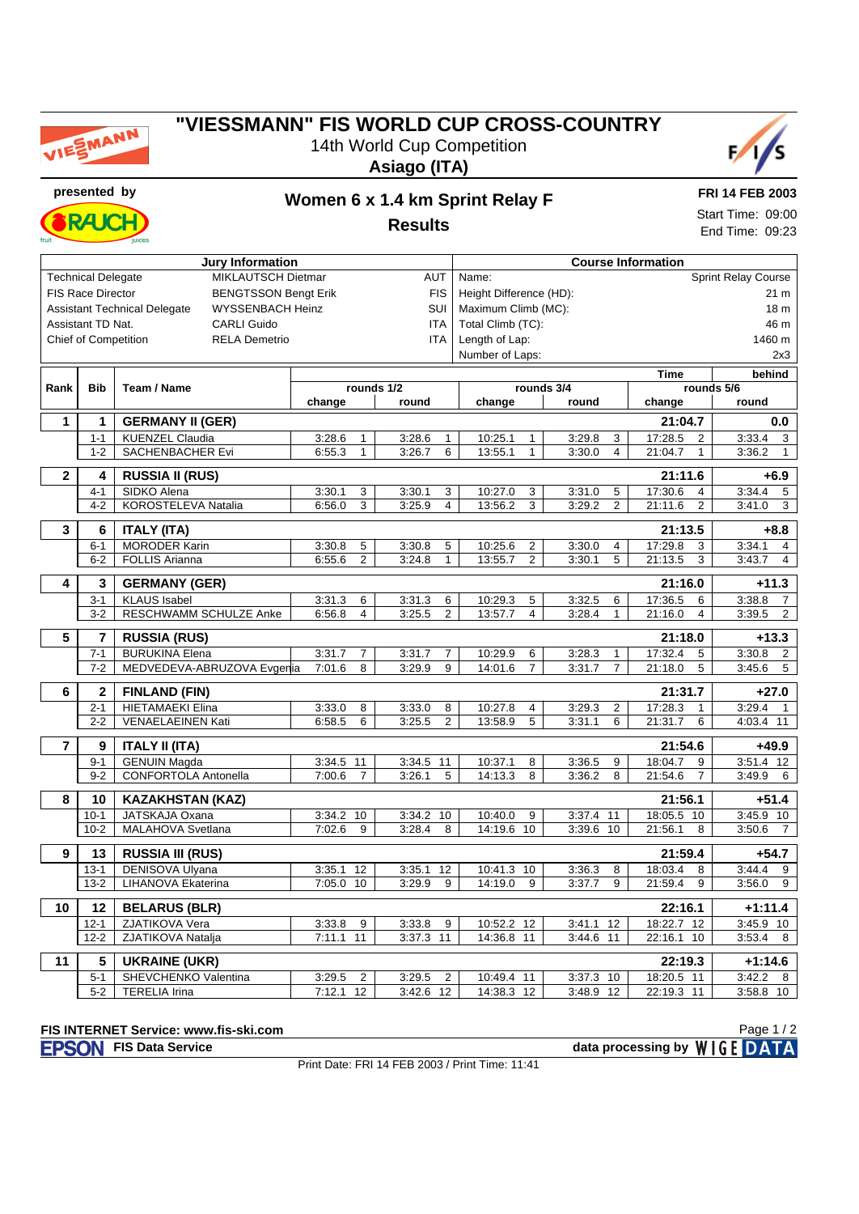

### **"VIESSMANN" FIS WORLD CUP CROSS-COUNTRY** 14th World Cup Competition

**Asiago (ITA)**



**RAK** 

## **presented by Women 6 x 1.4 km Sprint Relay F**

**Results**

**FRI 14 FEB 2003** Start Time: 09:00 End Time: 09:23

|                                                                                     |                             | <b>Jury Information</b>     |                          | <b>Course Information</b>    |                           |                          |                           |                          |  |  |
|-------------------------------------------------------------------------------------|-----------------------------|-----------------------------|--------------------------|------------------------------|---------------------------|--------------------------|---------------------------|--------------------------|--|--|
|                                                                                     | <b>Technical Delegate</b>   | MIKLAUTSCH Dietmar          | <b>AUT</b>               | Sprint Relay Course<br>Name: |                           |                          |                           |                          |  |  |
| <b>FIS Race Director</b><br><b>BENGTSSON Bengt Erik</b>                             |                             |                             |                          | <b>FIS</b>                   | Height Difference (HD):   |                          | 21 m<br>18 <sub>m</sub>   |                          |  |  |
| SUI<br><b>Assistant Technical Delegate</b><br><b>WYSSENBACH Heinz</b><br><b>ITA</b> |                             |                             |                          |                              | Maximum Climb (MC):       |                          |                           |                          |  |  |
| Assistant TD Nat.<br><b>CARLI Guido</b>                                             |                             |                             |                          |                              | Total Climb (TC):         |                          |                           | 46 m                     |  |  |
|                                                                                     | <b>Chief of Competition</b> | <b>RELA Demetrio</b>        |                          | <b>ITA</b>                   | Length of Lap:            |                          | 1460 m                    |                          |  |  |
|                                                                                     |                             |                             |                          |                              | Number of Laps:           |                          |                           | 2x3                      |  |  |
|                                                                                     |                             |                             |                          |                              |                           |                          | <b>Time</b>               | behind                   |  |  |
| Rank                                                                                | <b>Bib</b>                  | Team / Name                 |                          | rounds 1/2                   |                           | rounds 3/4               | rounds 5/6                |                          |  |  |
|                                                                                     |                             |                             | change                   | round                        | change                    | round                    | change                    | round                    |  |  |
| 1                                                                                   | 1                           | <b>GERMANY II (GER)</b>     |                          |                              |                           |                          | 21:04.7                   | 0.0                      |  |  |
|                                                                                     | $1 - 1$                     | <b>KUENZEL Claudia</b>      | 3:28.6<br>1              | 3:28.6<br>$\mathbf{1}$       | 10:25.1<br>$\mathbf{1}$   | 3:29.8<br>3              | 17:28.5<br>$\overline{2}$ | 3:33.4<br>3              |  |  |
|                                                                                     | $1 - 2$                     | <b>SACHENBACHER Evi</b>     | 6:55.3<br>$\mathbf{1}$   | 3:26.7<br>6                  | 13:55.1<br>$\mathbf{1}$   | $\overline{4}$<br>3:30.0 | 21:04.7<br>1              | 3:36.2<br>$\mathbf{1}$   |  |  |
|                                                                                     |                             |                             |                          |                              |                           |                          |                           |                          |  |  |
| $\overline{\mathbf{2}}$                                                             | 4                           | <b>RUSSIA II (RUS)</b>      |                          |                              |                           |                          | 21:11.6                   | $+6.9$                   |  |  |
|                                                                                     | $4 - 1$                     | SIDKO Alena                 | 3:30.1<br>3              | 3:30.1<br>3                  | 10:27.0<br>3              | 3:31.0<br>5              | 17:30.6<br>4              | 3:34.4<br>5              |  |  |
|                                                                                     | $4 - 2$                     | KOROSTELEVA Natalia         | 6:56.0<br>3              | 3:25.9<br>$\overline{4}$     | 13:56.2<br>3              | $\overline{2}$<br>3:29.2 | 21:11.6<br>$\overline{2}$ | 3:41.0<br>3              |  |  |
| 3                                                                                   | 6                           | <b>ITALY (ITA)</b>          |                          |                              |                           |                          | 21:13.5                   | $+8.8$                   |  |  |
|                                                                                     | $6 - 1$                     | <b>MORODER Karin</b>        | 3:30.8<br>5              | 3:30.8<br>5                  | 10:25.6<br>2              | 3:30.0<br>4              | 17:29.8<br>3              | 3:34.1<br>4              |  |  |
|                                                                                     | $6 - 2$                     | <b>FOLLIS Arianna</b>       | 2<br>6:55.6              | $\mathbf{1}$<br>3:24.8       | $\overline{c}$<br>13:55.7 | 5<br>3:30.1              | 21:13.5<br>3              | 3:43.7<br>4              |  |  |
|                                                                                     |                             |                             |                          |                              |                           |                          |                           |                          |  |  |
| 4                                                                                   | 3                           | <b>GERMANY (GER)</b>        |                          |                              |                           |                          | 21:16.0                   | $+11.3$                  |  |  |
|                                                                                     | $3 - 1$                     | <b>KLAUS Isabel</b>         | 3:31.3<br>6              | 3:31.3<br>6                  | 10:29.3<br>5              | 3:32.5<br>6              | 17:36.5<br>6              | 3:38.8<br>$\overline{7}$ |  |  |
|                                                                                     | $3-2$                       | RESCHWAMM SCHULZE Anke      | 6:56.8<br>4              | $\overline{2}$<br>3:25.5     | 13:57.7<br>$\overline{4}$ | 3:28.4<br>$\mathbf{1}$   | 21:16.0<br>$\overline{4}$ | 3:39.5<br>$\overline{2}$ |  |  |
| 5                                                                                   | $\overline{7}$              | <b>RUSSIA (RUS)</b>         |                          |                              |                           |                          | 21:18.0                   | $+13.3$                  |  |  |
|                                                                                     | $7 - 1$                     | <b>BURUKINA Elena</b>       | 3:31.7<br>$\overline{7}$ | 3:31.7<br>$\overline{7}$     | 10:29.9<br>6              | 3:28.3<br>$\mathbf{1}$   | 17:32.4<br>5              | 3:30.8<br>$\overline{c}$ |  |  |
|                                                                                     | $7 - 2$                     | MEDVEDEVA-ABRUZOVA Evgerlia | 7:01.6<br>8              | 3:29.9<br>9                  | 14:01.6<br>$\overline{7}$ | $\overline{7}$<br>3:31.7 | 21:18.0<br>5              | 3:45.6<br>5              |  |  |
| 6                                                                                   | $\overline{\mathbf{c}}$     | <b>FINLAND (FIN)</b>        |                          |                              |                           |                          | 21:31.7                   | +27.0                    |  |  |
|                                                                                     | $2 - 1$                     | <b>HIETAMAEKI Elina</b>     | 3:33.0<br>8              | 3:33.0<br>8                  | 10:27.8<br>$\overline{4}$ | 3:29.3<br>$\overline{2}$ | 17:28.3<br>$\mathbf{1}$   | 3:29.4                   |  |  |
|                                                                                     | $2 - 2$                     | VENAELAEINEN Kati           | 6<br>6:58.5              | $\overline{c}$<br>3:25.5     | 13:58.9<br>5              | 6<br>3:31.1              | 21:31.7<br>6              | $\mathbf 1$<br>4:03.4 11 |  |  |
|                                                                                     |                             |                             |                          |                              |                           |                          |                           |                          |  |  |
| $\overline{7}$                                                                      | 9                           | <b>ITALY II (ITA)</b>       |                          |                              |                           |                          | 21:54.6                   | +49.9                    |  |  |
|                                                                                     | $9 - 1$                     | <b>GENUIN Magda</b>         | 3:34.5 11                | 3:34.5<br>11                 | 10:37.1<br>8              | 3:36.5<br>9              | 18:04.7<br>9              | $3:51.4$ 12              |  |  |
|                                                                                     | $9 - 2$                     | CONFORTOLA Antonella        | $\overline{7}$<br>7:00.6 | 3:26.1<br>5                  | 8<br>14:13.3              | 8<br>3:36.2              | 21:54.6<br>$\overline{7}$ | 3:49.9<br>6              |  |  |
| 8                                                                                   | 10                          | <b>KAZAKHSTAN (KAZ)</b>     |                          |                              |                           |                          | 21:56.1                   | $+51.4$                  |  |  |
|                                                                                     | $10-1$                      | JATSKAJA Oxana              | 3:34.2 10                | 3:34.2<br>10                 | 10:40.0<br>9              | 3:37.4 11                | 18:05.5<br>10             | 3:45.9<br>10             |  |  |
|                                                                                     | $10-2$                      | MALAHOVA Svetlana           | 7:02.6<br>9              | 3:28.4<br>8                  | 14:19.6<br>10             | 3:39.6 10                | 21:56.1<br>8              | 3:50.6<br>7              |  |  |
|                                                                                     |                             |                             |                          |                              |                           |                          |                           |                          |  |  |
| 9                                                                                   | 13                          | <b>RUSSIA III (RUS)</b>     |                          |                              |                           |                          | 21:59.4                   | $+54.7$                  |  |  |
|                                                                                     | $13 - 1$                    | DENISOVA Ulyana             | 12<br>3:35.1             | 3:35.1<br>12                 | 10:41.3<br>10             | 3:36.3<br>8              | 18:03.4<br>8              | 3:44.4<br>9              |  |  |
|                                                                                     | $13 - 2$                    | LIHANOVA Ekaterina          | 7:05.0 10                | 3:29.9<br>9                  | 14:19.0<br>9              | 3:37.7<br>9              | 21:59.4<br>9              | 3:56.0<br>9              |  |  |
| 10                                                                                  | 12                          | <b>BELARUS (BLR)</b>        |                          |                              |                           |                          | 22:16.1                   | $+1:11.4$                |  |  |
|                                                                                     | $12 - 1$                    | ZJATIKOVA Vera              | 3:33.8<br>9              | 3:33.8<br>9                  | 10:52.2<br>12             | 3:41.1<br>12             | 18:22.7<br>12             | 3:45.9<br>10             |  |  |
|                                                                                     | $12 - 2$                    | ZJATIKOVA Natalja           | $7:11.1$ 11              | 3:37.3 11                    | 14:36.8<br>11             | 11<br>3:44.6             | 22:16.1<br>10             | 3:53.4<br>8              |  |  |
|                                                                                     |                             |                             |                          |                              |                           |                          |                           |                          |  |  |
| 11                                                                                  | 5                           | <b>UKRAINE (UKR)</b>        |                          |                              |                           |                          | 22:19.3                   | $+1:14.6$                |  |  |
|                                                                                     | $5 - 1$                     | SHEVCHENKO Valentina        | 3:29.5<br>2              | 3:29.5<br>2                  | 10:49.4<br>11             | 3:37.3 10                | 18:20.5 11                | 3:42.2<br>8              |  |  |
|                                                                                     | $5-2$                       | <b>TERELIA Irina</b>        | 7:12.1<br>12             | $3:42.6$ 12                  | 14:38.3 12                | 3:48.9 12                | 22:19.3 11                | 3:58.8 10                |  |  |

#### **FIS INTERNET Service: www.fis-ski.com**

**FISON** FIS Data Service **data processing by** WIGE DATA

Print Date: FRI 14 FEB 2003 / Print Time: 11:41

Page 1 / 2